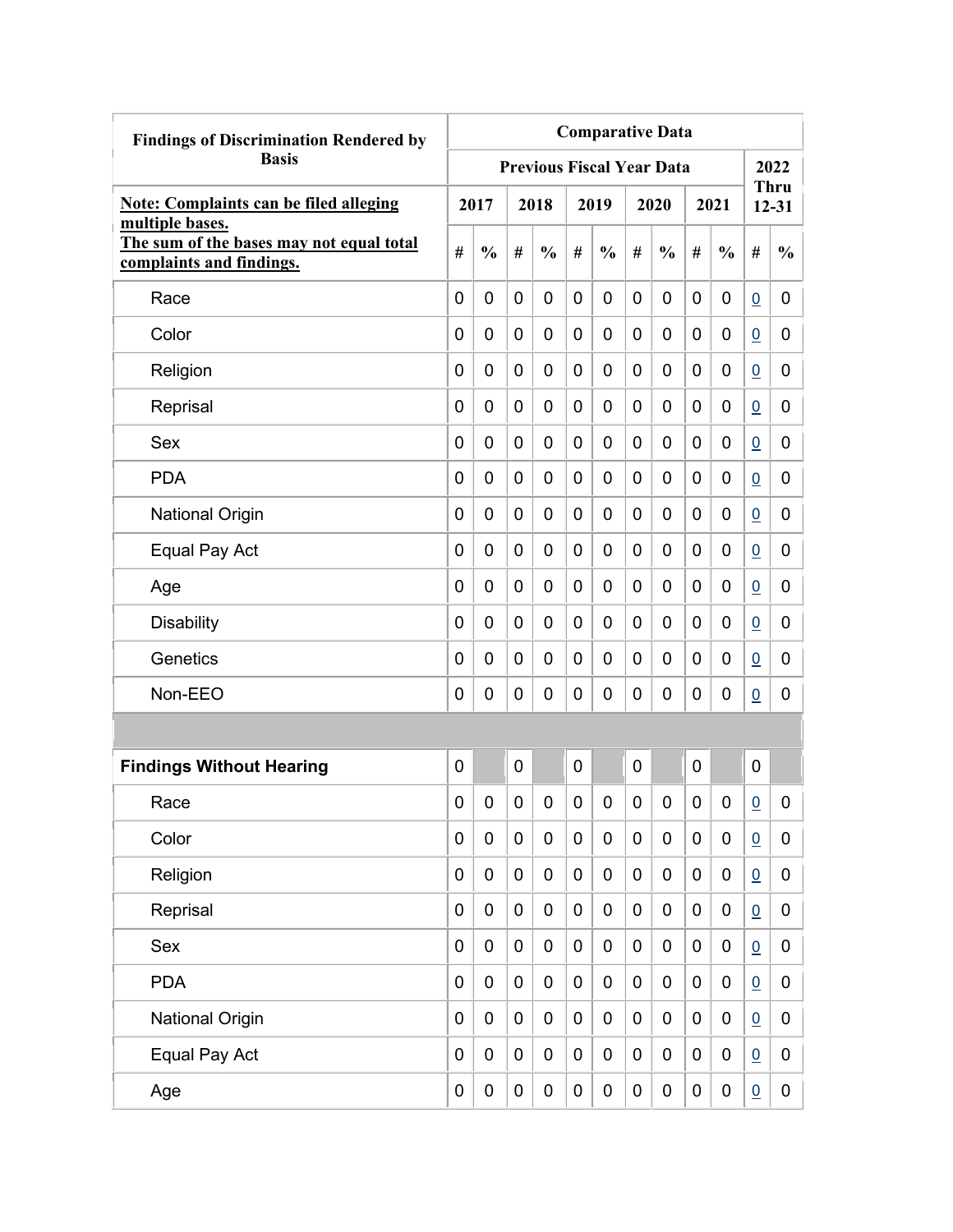| <b>Findings of Discrimination Rendered by</b>                                           | <b>Comparative Data</b> |               |             |                                  |                |               |             |               |   |                  |                 |                          |
|-----------------------------------------------------------------------------------------|-------------------------|---------------|-------------|----------------------------------|----------------|---------------|-------------|---------------|---|------------------|-----------------|--------------------------|
| <b>Basis</b>                                                                            |                         |               |             | <b>Previous Fiscal Year Data</b> |                |               |             |               |   |                  |                 | 2022                     |
| <b>Note: Complaints can be filed alleging</b>                                           |                         | 2017          |             | 2018                             |                | 2019          |             | 2020          |   | 2021             |                 | <b>Thru</b><br>$12 - 31$ |
| multiple bases.<br>The sum of the bases may not equal total<br>complaints and findings. | #                       | $\frac{0}{0}$ | #           | $\frac{0}{0}$                    | #              | $\frac{0}{0}$ | #           | $\frac{0}{0}$ | # | $\frac{0}{0}$    | #               | $\frac{0}{0}$            |
| Race                                                                                    | 0                       | 0             | 0           | $\overline{0}$                   | $\overline{0}$ | $\mathbf 0$   | 0           | 0             | 0 | 0                | $\overline{0}$  | 0                        |
| Color                                                                                   | 0                       | 0             | 0           | 0                                | 0              | 0             | 0           | 0             | 0 | 0                | $\overline{0}$  | 0                        |
| Religion                                                                                | 0                       | 0             | 0           | 0                                | 0              | 0             | 0           | 0             | 0 | 0                | $\overline{0}$  | 0                        |
| Reprisal                                                                                | 0                       | 0             | 0           | 0                                | 0              | 0             | 0           | 0             | 0 | 0                | $\overline{0}$  | 0                        |
| Sex                                                                                     | 0                       | 0             | 0           | 0                                | 0              | 0             | 0           | 0             | 0 | 0                | $\underline{0}$ | 0                        |
| <b>PDA</b>                                                                              | 0                       | 0             | 0           | $\overline{0}$                   | 0              | $\mathbf 0$   | 0           | 0             | 0 | 0                | $\overline{0}$  | 0                        |
| <b>National Origin</b>                                                                  | 0                       | 0             | 0           | 0                                | 0              | 0             | 0           | 0             | 0 | 0                | $\overline{0}$  | 0                        |
| Equal Pay Act                                                                           | 0                       | 0             | 0           | 0                                | 0              | 0             | 0           | 0             | 0 | 0                | $\overline{0}$  | 0                        |
| Age                                                                                     | 0                       | 0             | 0           | 0                                | 0              | 0             | 0           | 0             | 0 | 0                | $\overline{0}$  | 0                        |
| <b>Disability</b>                                                                       | 0                       | 0             | 0           | 0                                | 0              | 0             | 0           | 0             | 0 | 0                | $\overline{0}$  | 0                        |
| Genetics                                                                                | 0                       | 0             | 0           | 0                                | 0              | 0             | 0           | 0             | 0 | 0                | $\overline{0}$  | 0                        |
| Non-EEO                                                                                 | 0                       | 0             | 0           | 0                                | 0              | 0             | 0           | 0             | 0 | 0                | $\overline{0}$  | 0                        |
|                                                                                         |                         |               |             |                                  |                |               |             |               |   |                  |                 |                          |
| <b>Findings Without Hearing</b>                                                         | 0                       |               | 0           |                                  | 0              |               | 0           |               | 0 |                  | $\mathbf 0$     |                          |
| Race                                                                                    | 0                       | 0             | 0           | 0                                | 0              | 0             | 0           | 0             | 0 | 0                | $\overline{0}$  | 0                        |
| Color                                                                                   | 0                       | $\mathbf 0$   | $\pmb{0}$   | $\mathbf 0$                      | $\mathbf 0$    | $\mathbf 0$   | $\mathbf 0$ | 0             | 0 | $\boldsymbol{0}$ | $\underline{0}$ | 0                        |
| Religion                                                                                | 0                       | $\mathbf 0$   | $\pmb{0}$   | $\mathbf 0$                      | $\mathbf 0$    | $\mathbf 0$   | 0           | 0             | 0 | $\boldsymbol{0}$ | $\underline{0}$ | 0                        |
| Reprisal                                                                                | 0                       | $\mathbf 0$   | $\pmb{0}$   | $\mathbf 0$                      | $\mathbf 0$    | $\mathbf 0$   | $\mathbf 0$ | 0             | 0 | $\boldsymbol{0}$ | $\underline{0}$ | 0                        |
| Sex                                                                                     | 0                       | $\mathbf 0$   | $\pmb{0}$   | $\mathbf 0$                      | $\mathbf 0$    | $\mathbf 0$   | $\mathbf 0$ | 0             | 0 | $\pmb{0}$        | $\underline{0}$ | 0                        |
| <b>PDA</b>                                                                              | 0                       | $\mathbf 0$   | $\pmb{0}$   | $\mathbf 0$                      | $\mathbf 0$    | $\mathbf 0$   | $\mathbf 0$ | $\pmb{0}$     | 0 | $\mathbf 0$      | $\underline{0}$ | 0                        |
| <b>National Origin</b>                                                                  | 0                       | $\mathbf 0$   | $\pmb{0}$   | $\mathbf 0$                      | $\mathbf 0$    | $\pmb{0}$     | $\mathbf 0$ | 0             | 0 | $\pmb{0}$        | $\Omega$        | 0                        |
| Equal Pay Act                                                                           | 0                       | $\pmb{0}$     | $\mathbf 0$ | 0                                | $\mathbf 0$    | $\pmb{0}$     | 0           | 0             | 0 | 0                | $\underline{0}$ | 0                        |
| Age                                                                                     | 0                       | $\pmb{0}$     | 0           | $\pmb{0}$                        | $\pmb{0}$      | $\pmb{0}$     | 0           | 0             | 0 | $\pmb{0}$        | $\overline{0}$  | $\mathbf 0$              |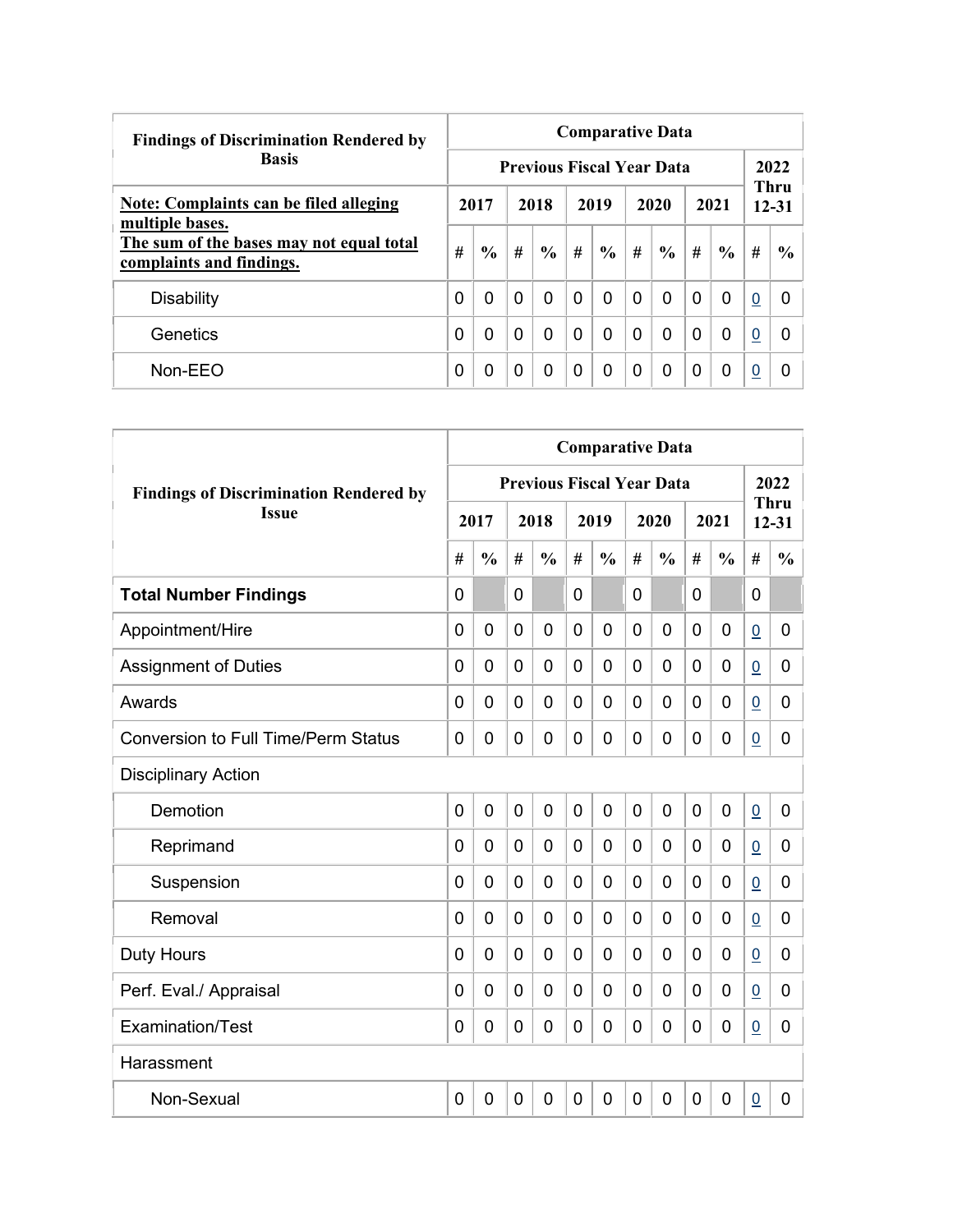| <b>Findings of Discrimination Rendered by</b>                        |      | <b>Comparative Data</b> |          |                                  |          |               |          |               |          |               |                          |               |  |  |  |
|----------------------------------------------------------------------|------|-------------------------|----------|----------------------------------|----------|---------------|----------|---------------|----------|---------------|--------------------------|---------------|--|--|--|
| <b>Basis</b>                                                         |      |                         |          | <b>Previous Fiscal Year Data</b> |          |               |          |               |          |               | 2022                     |               |  |  |  |
| Note: Complaints can be filed alleging<br>multiple bases.            | 2017 |                         | 2018     |                                  | 2019     |               |          | 2020          | 2021     |               | <b>Thru</b><br>$12 - 31$ |               |  |  |  |
| The sum of the bases may not equal total<br>complaints and findings. | #    | $\frac{0}{0}$           | #        | $\frac{6}{9}$                    | #        | $\frac{6}{6}$ | #        | $\frac{0}{0}$ | #        | $\frac{6}{6}$ | #                        | $\frac{6}{9}$ |  |  |  |
| <b>Disability</b>                                                    | 0    | $\Omega$                | $\Omega$ | 0                                | $\Omega$ | 0             | $\Omega$ | 0             | $\Omega$ | $\mathbf 0$   | $\boldsymbol{0}$         | 0             |  |  |  |
| Genetics                                                             | 0    | 0                       | $\Omega$ | 0                                | $\Omega$ | 0             | $\Omega$ | 0             | 0        | $\Omega$      | 0                        | 0             |  |  |  |
| $Non-EEO$                                                            | 0    | 0                       | 0        | 0                                | 0        | 0             | $\Omega$ | 0             | 0        | 0             | $\overline{0}$           |               |  |  |  |

|                                               | <b>Comparative Data</b> |                |   |                |                |                |                |                                  |             |                |                 |                          |  |
|-----------------------------------------------|-------------------------|----------------|---|----------------|----------------|----------------|----------------|----------------------------------|-------------|----------------|-----------------|--------------------------|--|
| <b>Findings of Discrimination Rendered by</b> |                         |                |   |                |                |                |                | <b>Previous Fiscal Year Data</b> |             |                |                 | 2022                     |  |
| <b>Issue</b>                                  |                         | 2017           |   | 2018           |                | 2019           |                | 2020                             |             | 2021           |                 | <b>Thru</b><br>$12 - 31$ |  |
|                                               | #                       | $\frac{0}{0}$  | # | $\frac{0}{0}$  | #              | $\frac{0}{0}$  | #              | $\frac{0}{0}$                    | #           | $\frac{0}{0}$  | #               | $\frac{0}{0}$            |  |
| <b>Total Number Findings</b>                  | 0                       |                | 0 |                | 0              |                | 0              |                                  | 0           |                | 0               |                          |  |
| Appointment/Hire                              | $\mathbf 0$             | $\mathbf 0$    | 0 | $\overline{0}$ | $\overline{0}$ | $\mathbf 0$    | 0              | 0                                | $\mathbf 0$ | 0              | $\underline{0}$ | 0                        |  |
| <b>Assignment of Duties</b>                   | 0                       | $\mathbf 0$    | 0 | $\overline{0}$ | $\mathbf 0$    | 0              | 0              | 0                                | 0           | 0              | $\underline{0}$ | 0                        |  |
| Awards                                        | 0                       | 0              | 0 | $\overline{0}$ | $\mathbf 0$    | 0              | 0              | 0                                | 0           | $\mathbf 0$    | $\underline{0}$ | 0                        |  |
| <b>Conversion to Full Time/Perm Status</b>    | $\mathbf{0}$            | 0              | 0 | $\overline{0}$ | $\mathbf 0$    | $\overline{0}$ | 0              | 0                                | $\mathbf 0$ | $\mathbf 0$    | $\underline{0}$ | 0                        |  |
| <b>Disciplinary Action</b>                    |                         |                |   |                |                |                |                |                                  |             |                |                 |                          |  |
| Demotion                                      | $\overline{0}$          | 0              | 0 | $\mathbf 0$    | $\mathbf 0$    | $\mathbf 0$    | $\overline{0}$ | 0                                | 0           | $\mathbf 0$    | $\underline{0}$ | 0                        |  |
| Reprimand                                     | 0                       | 0              | 0 | 0              | $\mathbf 0$    | 0              | 0              | 0                                | 0           | 0              | $\overline{0}$  | 0                        |  |
| Suspension                                    | 0                       | $\overline{0}$ | 0 | $\overline{0}$ | $\mathbf 0$    | $\overline{0}$ | 0              | 0                                | $\mathbf 0$ | $\overline{0}$ | $\overline{0}$  | 0                        |  |
| Removal                                       | 0                       | 0              | 0 | $\overline{0}$ | $\mathbf 0$    | 0              | 0              | 0                                | $\mathbf 0$ | $\overline{0}$ | $\underline{0}$ | 0                        |  |
| <b>Duty Hours</b>                             | $\Omega$                | $\Omega$       | 0 | $\overline{0}$ | $\mathbf 0$    | 0              | $\Omega$       | 0                                | $\mathbf 0$ | $\overline{0}$ | $\underline{0}$ | 0                        |  |
| Perf. Eval./ Appraisal                        | $\Omega$                | 0              | 0 | $\Omega$       | 0              | 0              | $\Omega$       | 0                                | $\Omega$    | $\mathbf 0$    | $\overline{0}$  | 0                        |  |
| Examination/Test                              | 0                       | 0              | 0 | $\overline{0}$ | $\mathbf 0$    | 0              | 0              | 0                                | 0           | 0              | $\pmb{0}$       | 0                        |  |
| Harassment                                    |                         |                |   |                |                |                |                |                                  |             |                |                 |                          |  |
| Non-Sexual                                    | $\mathbf{0}$            | $\mathbf 0$    | 0 | $\overline{0}$ | $\mathbf 0$    | 0              | 0              | 0                                | $\mathbf 0$ | $\overline{0}$ | $\underline{0}$ | 0                        |  |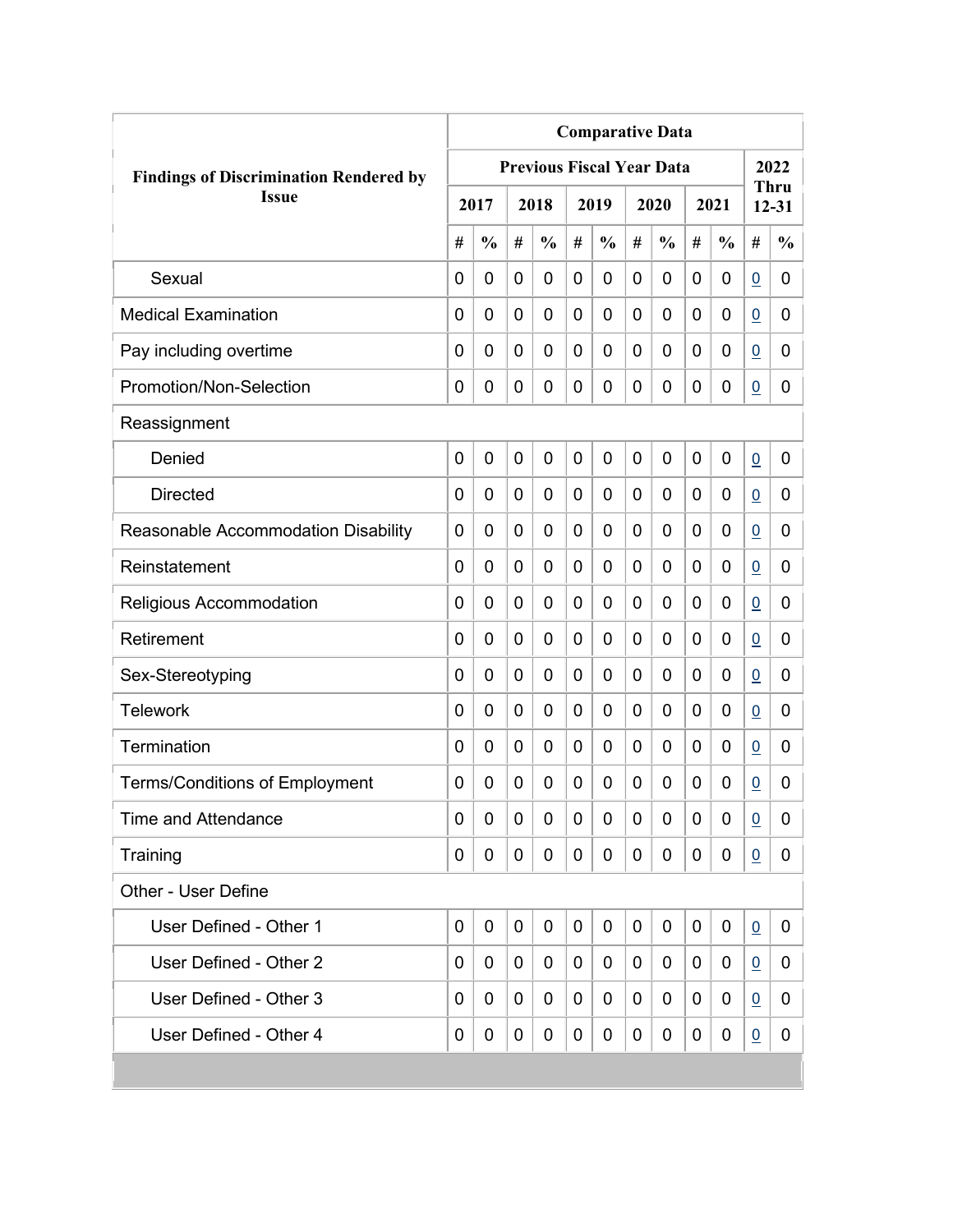|                                               | <b>Comparative Data</b> |               |                |               |             |               |   |                                  |   |               |                 |                   |
|-----------------------------------------------|-------------------------|---------------|----------------|---------------|-------------|---------------|---|----------------------------------|---|---------------|-----------------|-------------------|
| <b>Findings of Discrimination Rendered by</b> |                         |               |                |               |             |               |   | <b>Previous Fiscal Year Data</b> |   |               |                 | 2022              |
| <b>Issue</b>                                  |                         | 2017          |                | 2018          |             | 2019          |   | 2020                             |   | 2021          |                 | Thru<br>$12 - 31$ |
|                                               | #                       | $\frac{0}{0}$ | #              | $\frac{0}{0}$ | #           | $\frac{0}{0}$ | # | $\frac{0}{0}$                    | # | $\frac{0}{0}$ | #               | $\frac{0}{0}$     |
| Sexual                                        | 0                       | 0             | 0              | 0             | 0           | 0             | 0 | 0                                | 0 | 0             | $\underline{0}$ | 0                 |
| <b>Medical Examination</b>                    | 0                       | 0             | 0              | 0             | 0           | 0             | 0 | 0                                | 0 | 0             | $\underline{0}$ | 0                 |
| Pay including overtime                        | 0                       | 0             | 0              | 0             | 0           | 0             | 0 | 0                                | 0 | 0             | $\overline{0}$  | 0                 |
| Promotion/Non-Selection                       | 0                       | 0             | 0              | 0             | 0           | 0             | 0 | 0                                | 0 | 0             | $\overline{0}$  | 0                 |
| Reassignment                                  |                         |               |                |               |             |               |   |                                  |   |               |                 |                   |
| Denied                                        | $\mathbf 0$             | 0             | $\overline{0}$ | 0             | 0           | 0             | 0 | 0                                | 0 | 0             | $\underline{0}$ | 0                 |
| <b>Directed</b>                               | 0                       | 0             | 0              | 0             | 0           | 0             | 0 | 0                                | 0 | 0             | $\overline{0}$  | 0                 |
| Reasonable Accommodation Disability           | 0                       | 0             | 0              | 0             | 0           | 0             | 0 | 0                                | 0 | 0             | $\overline{0}$  | 0                 |
| Reinstatement                                 | $\Omega$                | $\mathbf 0$   | 0              | 0             | 0           | 0             | 0 | 0                                | 0 | 0             | $\overline{0}$  | 0                 |
| Religious Accommodation                       | 0                       | $\mathbf 0$   | 0              | 0             | 0           | 0             | 0 | 0                                | 0 | 0             | 0               | 0                 |
| Retirement                                    | 0                       | 0             | 0              | 0             | 0           | 0             | 0 | 0                                | 0 | 0             | $\overline{0}$  | 0                 |
| Sex-Stereotyping                              | 0                       | 0             | 0              | 0             | 0           | 0             | 0 | 0                                | 0 | 0             | 0               | 0                 |
| <b>Telework</b>                               | 0                       | $\mathbf 0$   | 0              | 0             | 0           | 0             | 0 | 0                                | 0 | 0             | 0               | 0                 |
| Termination                                   | 0                       | 0             | 0              | 0             | 0           | 0             | 0 | 0                                | 0 | 0             | $\overline{0}$  | 0                 |
| <b>Terms/Conditions of Employment</b>         | 0                       | 0             | 0              | 0             | 0           | 0             | 0 | 0                                | 0 | 0             | $\overline{0}$  | 0                 |
| <b>Time and Attendance</b>                    | 0                       | 0             | 0              | 0             | 0           | 0             | 0 | 0                                | 0 | 0             | $\overline{0}$  | 0                 |
| Training                                      | 0                       | 0             | 0              | 0             | 0           | 0             | 0 | 0                                | 0 | 0             | 0               | 0                 |
| Other - User Define                           |                         |               |                |               |             |               |   |                                  |   |               |                 |                   |
| User Defined - Other 1                        | $\mathbf 0$             | 0             | 0              | 0             | $\mathbf 0$ | 0             | 0 | 0                                | 0 | 0             | 0               | $\mathbf 0$       |
| User Defined - Other 2                        | 0                       | 0             | 0              | 0             | 0           | 0             | 0 | 0                                | 0 | 0             | 0               | 0                 |
| User Defined - Other 3                        | 0                       | 0             | 0              | 0             | 0           | 0             | 0 | 0                                | 0 | 0             | $\overline{0}$  | 0                 |
| User Defined - Other 4                        | 0                       | 0             | 0              | 0             | 0           | 0             | 0 | 0                                | 0 | 0             | $\overline{0}$  | 0                 |
|                                               |                         |               |                |               |             |               |   |                                  |   |               |                 |                   |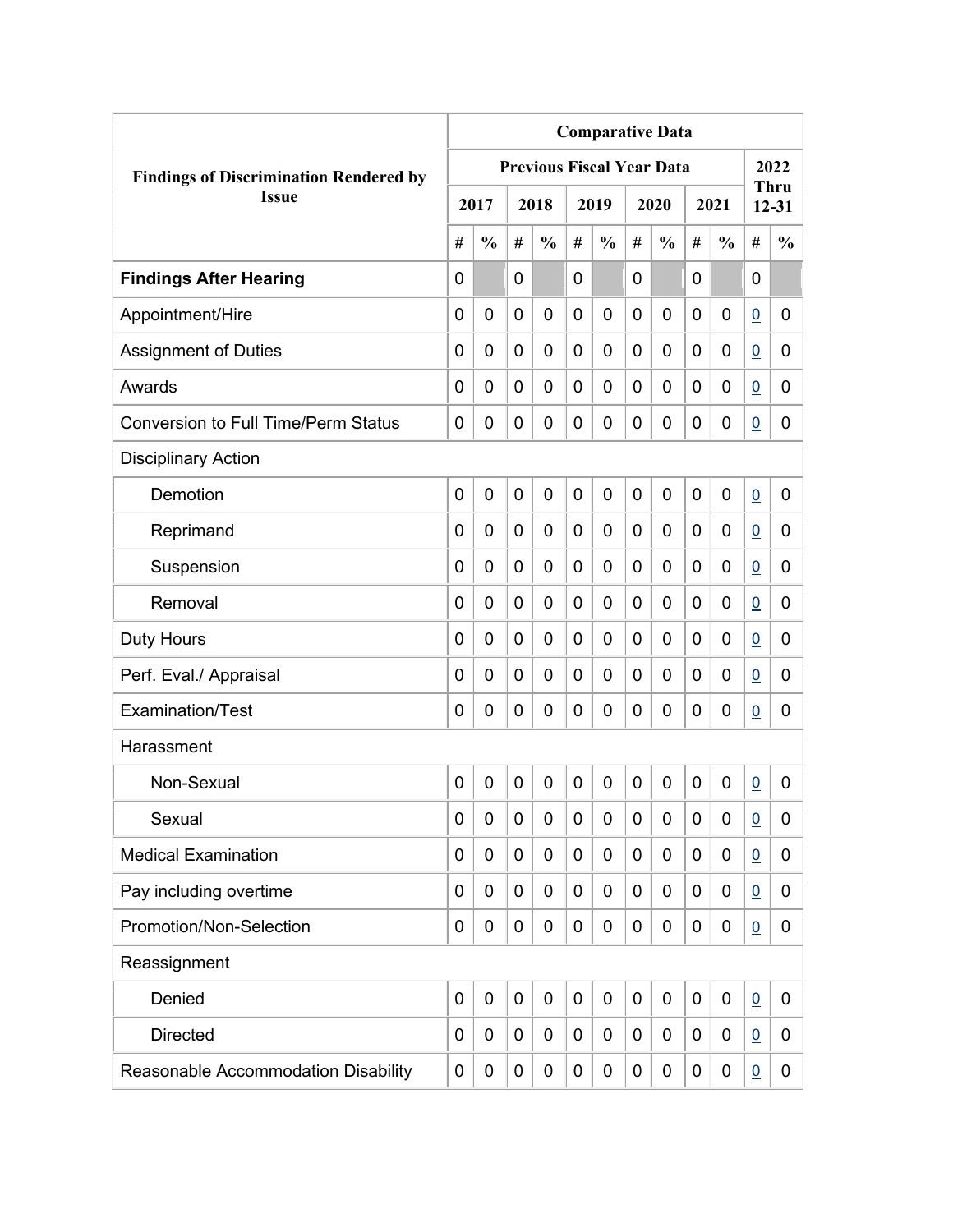|                                               | <b>Comparative Data</b> |               |                |                                  |                |               |                |               |             |               |                 |                          |
|-----------------------------------------------|-------------------------|---------------|----------------|----------------------------------|----------------|---------------|----------------|---------------|-------------|---------------|-----------------|--------------------------|
| <b>Findings of Discrimination Rendered by</b> |                         |               |                | <b>Previous Fiscal Year Data</b> |                |               |                |               |             |               |                 | 2022                     |
| <b>Issue</b>                                  |                         | 2017          |                | 2018                             |                | 2019          |                | 2020          |             | 2021          |                 | <b>Thru</b><br>$12 - 31$ |
|                                               | #                       | $\frac{0}{0}$ | #              | $\frac{0}{0}$                    | #              | $\frac{0}{0}$ | #              | $\frac{0}{0}$ | #           | $\frac{0}{0}$ | #               | $\frac{0}{0}$            |
| <b>Findings After Hearing</b>                 | 0                       |               | 0              |                                  | $\overline{0}$ |               | 0              |               | 0           |               | $\mathbf 0$     |                          |
| Appointment/Hire                              | 0                       | $\mathbf 0$   | 0              | $\overline{0}$                   | $\mathbf 0$    | 0             | 0              | 0             | 0           | $\mathbf 0$   | $\underline{0}$ | 0                        |
| <b>Assignment of Duties</b>                   | 0                       | 0             | 0              | 0                                | $\mathbf 0$    | 0             | 0              | 0             | 0           | $\mathbf 0$   | $\overline{0}$  | 0                        |
| Awards                                        | 0                       | 0             | 0              | 0                                | 0              | 0             | $\overline{0}$ | 0             | 0           | 0             | $\overline{0}$  | 0                        |
| <b>Conversion to Full Time/Perm Status</b>    | 0                       | 0             | 0              | 0                                | $\mathbf 0$    | 0             | 0              | 0             | 0           | $\mathbf 0$   | $\overline{0}$  | 0                        |
| <b>Disciplinary Action</b>                    |                         |               |                |                                  |                |               |                |               |             |               |                 |                          |
| Demotion                                      | 0                       | $\mathbf 0$   | 0              | 0                                | $\mathbf 0$    | 0             | $\overline{0}$ | 0             | 0           | $\mathbf 0$   | $\underline{0}$ | 0                        |
| Reprimand                                     | 0                       | 0             | 0              | $\overline{0}$                   | $\mathbf 0$    | 0             | 0              | 0             | 0           | $\mathbf 0$   | $\overline{0}$  | 0                        |
| Suspension                                    | 0                       | 0             | 0              | 0                                | 0              | 0             | 0              | 0             | 0           | $\mathbf 0$   | $\underline{0}$ | 0                        |
| Removal                                       | 0                       | 0             | 0              | 0                                | $\mathbf 0$    | 0             | 0              | 0             | 0           | $\mathbf 0$   | $\overline{0}$  | 0                        |
| <b>Duty Hours</b>                             | 0                       | 0             | 0              | 0                                | $\mathbf 0$    | 0             | 0              | 0             | 0           | $\mathbf 0$   | $\overline{0}$  | 0                        |
| Perf. Eval./ Appraisal                        | 0                       | 0             | 0              | 0                                | $\mathbf 0$    | 0             | 0              | 0             | 0           | $\mathbf 0$   | $\underline{0}$ | 0                        |
| Examination/Test                              | 0                       | 0             | 0              | 0                                | $\mathbf 0$    | 0             | $\mathbf 0$    | 0             | 0           | $\mathbf 0$   | $\overline{0}$  | 0                        |
| Harassment                                    |                         |               |                |                                  |                |               |                |               |             |               |                 |                          |
| Non-Sexual                                    | 0                       | $\mathbf 0$   | $\overline{0}$ | $\overline{0}$                   | $\mathbf 0$    | 0             | $\mathbf 0$    | 0             | $\mathbf 0$ | 0             | $\underline{0}$ | 0                        |
| Sexual                                        | 0                       | 0             | 0              | 0                                | $\mathbf 0$    | 0             | 0              | 0             | 0           | $\mathbf 0$   | $\underline{0}$ | 0                        |
| <b>Medical Examination</b>                    | 0                       | 0             | 0              | 0                                | $\mathbf 0$    | 0             | 0              | 0             | 0           | $\mathbf 0$   | $\underline{0}$ | 0                        |
| Pay including overtime                        | 0                       | 0             | 0              | 0                                | $\mathbf 0$    | 0             | 0              | 0             | 0           | $\mathbf 0$   | $\overline{0}$  | 0                        |
| Promotion/Non-Selection                       | 0                       | 0             | 0              | 0                                | $\mathbf 0$    | 0             | $\mathbf 0$    | 0             | 0           | $\mathbf 0$   | $\underline{0}$ | 0                        |
| Reassignment                                  |                         |               |                |                                  |                |               |                |               |             |               |                 |                          |
| Denied                                        | 0                       | $\mathbf 0$   | $\mathbf 0$    | 0                                | $\mathbf 0$    | 0             | $\mathbf 0$    | 0             | 0           | $\mathbf 0$   | $\underline{0}$ | 0                        |
| <b>Directed</b>                               | 0                       | 0             | 0              | 0                                | 0              | 0             | 0              | 0             | 0           | $\mathbf 0$   | $\overline{0}$  | 0                        |
| Reasonable Accommodation Disability           | 0                       | 0             | 0              | 0                                | $\mathbf 0$    | 0             | 0              | 0             | 0           | $\mathbf 0$   | $\underline{0}$ | 0                        |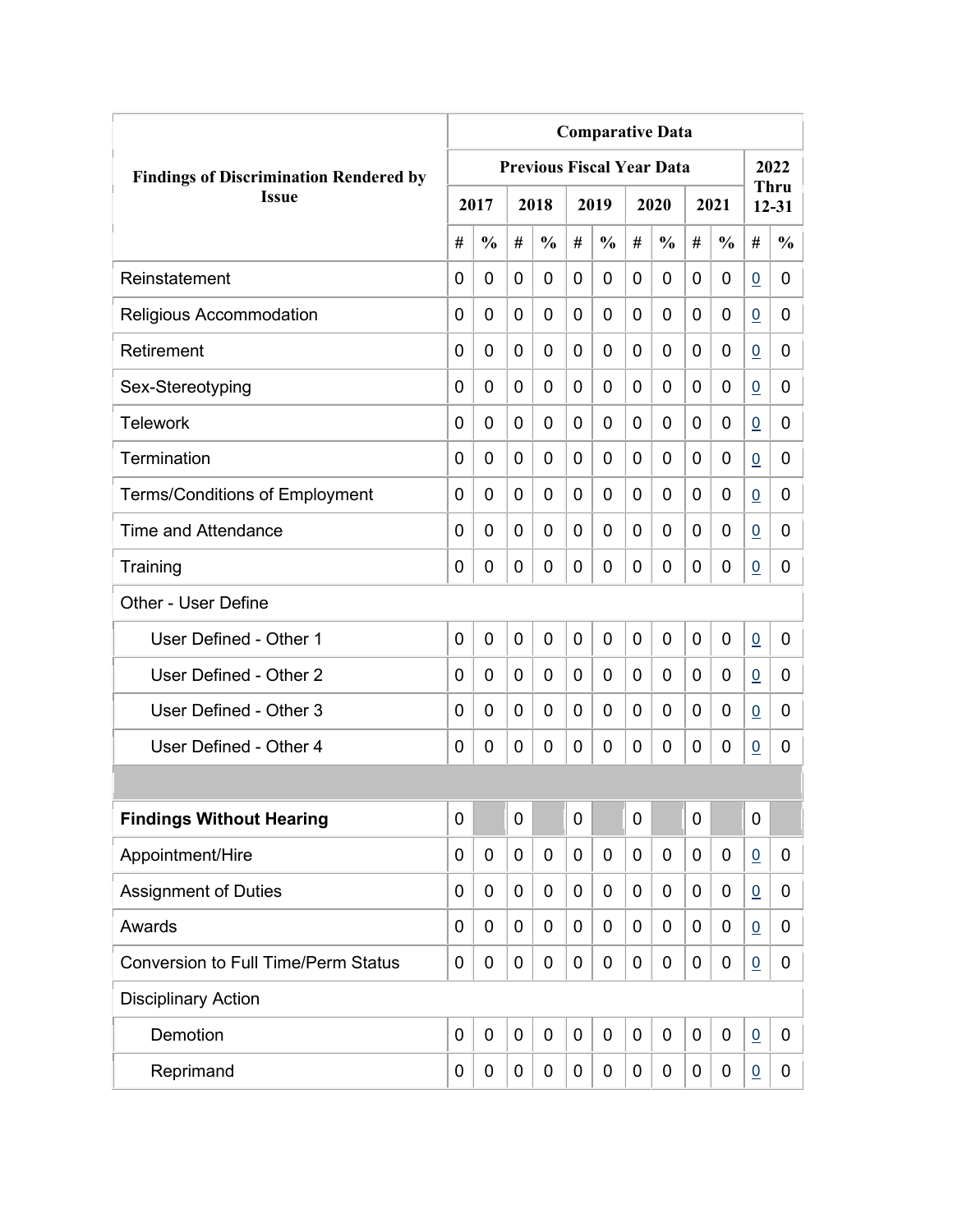|                                               | <b>Comparative Data</b> |               |              |                                  |                |                |   |               |             |               |                 |                          |
|-----------------------------------------------|-------------------------|---------------|--------------|----------------------------------|----------------|----------------|---|---------------|-------------|---------------|-----------------|--------------------------|
| <b>Findings of Discrimination Rendered by</b> |                         |               |              | <b>Previous Fiscal Year Data</b> |                |                |   |               |             |               |                 | 2022                     |
| <b>Issue</b>                                  |                         | 2017          |              | 2018                             |                | 2019           |   | 2020          |             | 2021          |                 | <b>Thru</b><br>$12 - 31$ |
|                                               | #                       | $\frac{0}{0}$ | #            | $\frac{0}{0}$                    | #              | $\frac{0}{0}$  | # | $\frac{0}{0}$ | #           | $\frac{0}{0}$ | #               | $\frac{0}{0}$            |
| Reinstatement                                 | 0                       | 0             | 0            | 0                                | 0              | 0              | 0 | 0             | 0           | 0             | $\overline{0}$  | 0                        |
| Religious Accommodation                       | 0                       | 0             | 0            | 0                                | $\overline{0}$ | $\overline{0}$ | 0 | 0             | 0           | 0             | $\overline{0}$  | 0                        |
| Retirement                                    | 0                       | 0             | 0            | 0                                | 0              | $\mathbf 0$    | 0 | 0             | 0           | 0             | $\overline{0}$  | 0                        |
| Sex-Stereotyping                              | 0                       | 0             | 0            | 0                                | 0              | 0              | 0 | 0             | 0           | 0             | $\overline{0}$  | 0                        |
| <b>Telework</b>                               | 0                       | 0             | 0            | 0                                | 0              | 0              | 0 | 0             | 0           | 0             | $\overline{0}$  | 0                        |
| Termination                                   | 0                       | 0             | 0            | 0                                | 0              | 0              | 0 | 0             | 0           | 0             | $\overline{0}$  | 0                        |
| <b>Terms/Conditions of Employment</b>         | 0                       | 0             | 0            | 0                                | 0              | 0              | 0 | 0             | 0           | 0             | $\overline{0}$  | 0                        |
| Time and Attendance                           | 0                       | 0             | 0            | 0                                | 0              | 0              | 0 | 0             | 0           | 0             | $\overline{0}$  | 0                        |
| Training                                      | 0                       | 0             | 0            | 0                                | 0              | $\mathbf 0$    | 0 | 0             | 0           | 0             | $\overline{0}$  | 0                        |
| Other - User Define                           |                         |               |              |                                  |                |                |   |               |             |               |                 |                          |
| User Defined - Other 1                        | 0                       | 0             | $\mathbf{0}$ | 0                                | $\overline{0}$ | $\mathbf 0$    | 0 | 0             | $\mathbf 0$ | 0             | $\overline{0}$  | 0                        |
| User Defined - Other 2                        | 0                       | 0             | 0            | 0                                | 0              | 0              | 0 | 0             | 0           | 0             | $\overline{0}$  | 0                        |
| User Defined - Other 3                        | 0                       | 0             | 0            | 0                                | 0              | 0              | 0 | 0             | 0           | 0             | 0               | 0                        |
| User Defined - Other 4                        | 0                       | 0             | 0            | 0                                | 0              | 0              | 0 | 0             | 0           | 0             | $\overline{0}$  | 0                        |
|                                               |                         |               |              |                                  |                |                |   |               |             |               |                 |                          |
| <b>Findings Without Hearing</b>               | 0                       |               | $\pmb{0}$    |                                  | $\mathbf 0$    |                | 0 |               | 0           |               | $\mathbf 0$     |                          |
| Appointment/Hire                              | 0                       | 0             | 0            | $\mathbf 0$                      | $\mathbf 0$    | $\mathbf 0$    | 0 | $\mathbf 0$   | 0           | 0             | $\overline{0}$  | 0                        |
| <b>Assignment of Duties</b>                   | 0                       | 0             | 0            | 0                                | 0              | $\mathbf 0$    | 0 | 0             | 0           | 0             | $\overline{0}$  | 0                        |
| Awards                                        | 0                       | 0             | 0            | 0                                | $\mathbf 0$    | 0              | 0 | 0             | 0           | 0             | $\overline{0}$  | 0                        |
| <b>Conversion to Full Time/Perm Status</b>    | 0                       | 0             | 0            | 0                                | 0              | $\mathbf 0$    | 0 | $\mathbf 0$   | 0           | 0             | $\overline{0}$  | 0                        |
| <b>Disciplinary Action</b>                    |                         |               |              |                                  |                |                |   |               |             |               |                 |                          |
| Demotion                                      | $\mathbf 0$             | $\mathbf 0$   | $\mathbf 0$  | $\mathbf 0$                      | $\mathbf 0$    | $\mathbf 0$    | 0 | $\mathbf 0$   | 0           | $\mathbf 0$   | $\underline{0}$ | 0                        |
| Reprimand                                     | 0                       | 0             | 0            | 0                                | 0              | $\mathbf 0$    | 0 | $\pmb{0}$     | 0           | 0             | $\overline{0}$  | $\mathbf{0}$             |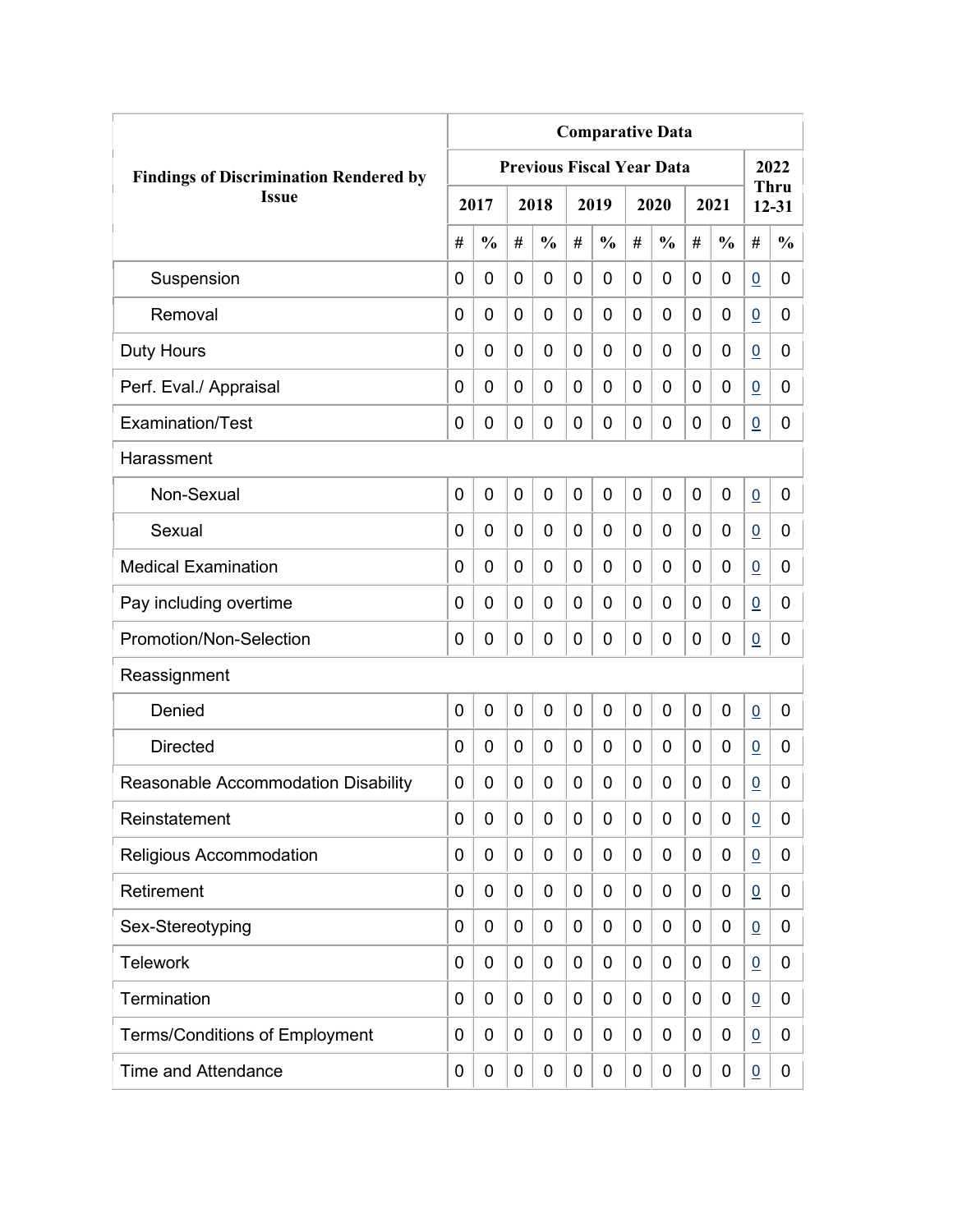|                                               | <b>Comparative Data</b> |                |             |                                  |                |               |                |               |             |               |                 |                          |  |
|-----------------------------------------------|-------------------------|----------------|-------------|----------------------------------|----------------|---------------|----------------|---------------|-------------|---------------|-----------------|--------------------------|--|
| <b>Findings of Discrimination Rendered by</b> |                         |                |             | <b>Previous Fiscal Year Data</b> |                |               |                |               |             |               |                 | 2022                     |  |
| <b>Issue</b>                                  |                         | 2017           |             | 2018                             |                | 2019          |                | 2020          |             | 2021          |                 | <b>Thru</b><br>$12 - 31$ |  |
|                                               | #                       | $\frac{0}{0}$  | #           | $\frac{6}{6}$                    | #              | $\frac{0}{0}$ | #              | $\frac{0}{0}$ | #           | $\frac{0}{0}$ | #               | $\frac{0}{0}$            |  |
| Suspension                                    | 0                       | $\mathbf 0$    | 0           | 0                                | 0              | $\mathbf 0$   | 0              | 0             | 0           | 0             | $\overline{0}$  | 0                        |  |
| Removal                                       | 0                       | 0              | 0           | 0                                | $\overline{0}$ | $\mathbf 0$   | 0              | 0             | 0           | $\mathbf 0$   | $\overline{0}$  | 0                        |  |
| <b>Duty Hours</b>                             | 0                       | $\mathbf 0$    | 0           | 0                                | 0              | $\mathbf 0$   | 0              | 0             | 0           | $\mathbf 0$   | $\overline{0}$  | 0                        |  |
| Perf. Eval./ Appraisal                        | 0                       | 0              | 0           | 0                                | 0              | 0             | 0              | 0             | 0           | 0             | $\underline{0}$ | 0                        |  |
| Examination/Test                              | 0                       | 0              | 0           | 0                                | $\overline{0}$ | $\mathbf 0$   | 0              | 0             | $\mathbf 0$ | 0             | $\overline{0}$  | 0                        |  |
| Harassment                                    |                         |                |             |                                  |                |               |                |               |             |               |                 |                          |  |
| Non-Sexual                                    | 0                       | $\overline{0}$ | $\mathbf 0$ | 0                                | $\mathbf 0$    | $\mathbf 0$   | $\overline{0}$ | 0             | 0           | $\mathbf 0$   | $\overline{0}$  | 0                        |  |
| Sexual                                        | 0                       | 0              | 0           | 0                                | 0              | $\mathbf 0$   | 0              | 0             | 0           | $\mathbf 0$   | $\underline{0}$ | 0                        |  |
| <b>Medical Examination</b>                    | 0                       | 0              | 0           | 0                                | $\overline{0}$ | $\mathbf 0$   | 0              | 0             | 0           | $\mathbf 0$   | $\overline{0}$  | 0                        |  |
| Pay including overtime                        | 0                       | 0              | 0           | 0                                | 0              | $\mathbf 0$   | 0              | 0             | 0           | 0             | $\overline{0}$  | 0                        |  |
| Promotion/Non-Selection                       | 0                       | 0              | 0           | 0                                | $\overline{0}$ | 0             | 0              | 0             | 0           | 0             | $\underline{0}$ | 0                        |  |
| Reassignment                                  |                         |                |             |                                  |                |               |                |               |             |               |                 |                          |  |
| Denied                                        | 0                       | $\mathbf 0$    | 0           | 0                                | 0              | $\mathbf 0$   | 0              | 0             | $\mathbf 0$ | 0             | $\overline{0}$  | 0                        |  |
| <b>Directed</b>                               | 0                       | $\mathbf 0$    | 0           | 0                                | 0              | 0             | 0              | 0             | 0           | 0             | $\overline{0}$  | 0                        |  |
| Reasonable Accommodation Disability           | 0                       | 0              | 0           | 0                                | 0              | 0             | 0              | 0             | 0           | 0             | $\underline{0}$ | 0                        |  |
| Reinstatement                                 | 0                       | 0              | 0           | 0                                | 0              | $\mathbf 0$   | 0              | 0             | 0           | 0             | $\underline{0}$ | 0                        |  |
| Religious Accommodation                       | 0                       | 0              | 0           | 0                                | 0              | $\mathbf 0$   | 0              | 0             | 0           | 0             | $\overline{0}$  | 0                        |  |
| Retirement                                    | 0                       | 0              | 0           | 0                                | 0              | 0             | 0              | 0             | 0           | 0             | $\underline{0}$ | 0                        |  |
| Sex-Stereotyping                              | 0                       | 0              | 0           | 0                                | 0              | 0             | 0              | 0             | 0           | 0             | $\underline{0}$ | 0                        |  |
| <b>Telework</b>                               | 0                       | 0              | 0           | 0                                | 0              | 0             | 0              | 0             | $\mathbf 0$ | 0             | $\overline{0}$  | 0                        |  |
| Termination                                   | 0                       | 0              | 0           | 0                                | 0              | 0             | 0              | 0             | 0           | 0             | $\overline{0}$  | 0                        |  |
| <b>Terms/Conditions of Employment</b>         | 0                       | 0              | 0           | 0                                | 0              | 0             | 0              | 0             | 0           | 0             | $\overline{0}$  | 0                        |  |
| <b>Time and Attendance</b>                    | 0                       | 0              | 0           | 0                                | 0              | 0             | 0              | 0             | 0           | 0             | $\underline{0}$ | 0                        |  |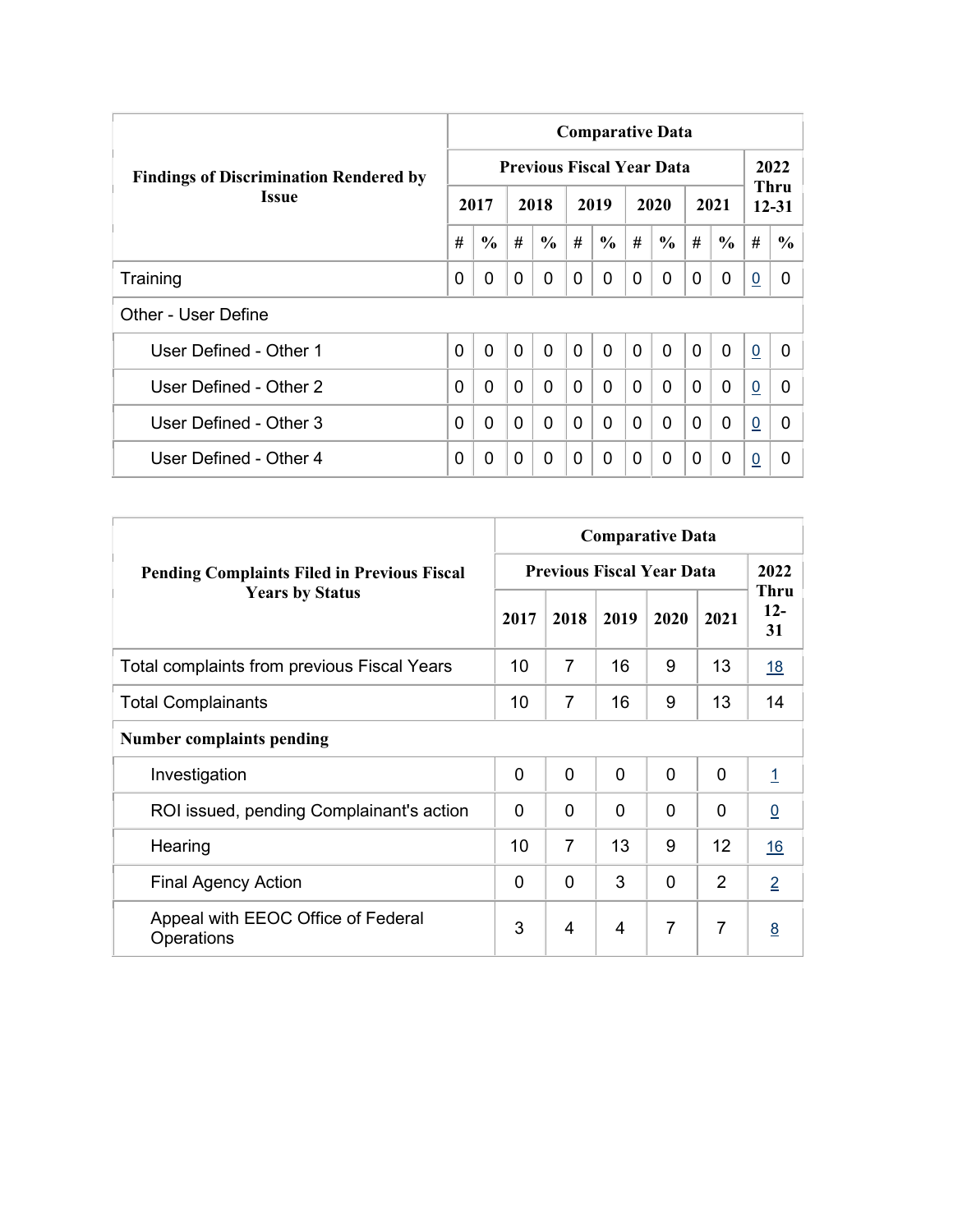|                                               | <b>Comparative Data</b> |               |                |                                  |                |                |              |               |              |               |                |                   |  |  |
|-----------------------------------------------|-------------------------|---------------|----------------|----------------------------------|----------------|----------------|--------------|---------------|--------------|---------------|----------------|-------------------|--|--|
| <b>Findings of Discrimination Rendered by</b> |                         |               |                | <b>Previous Fiscal Year Data</b> |                |                |              |               |              |               |                | 2022              |  |  |
| <b>Issue</b>                                  |                         | 2017          |                | 2018                             |                | 2019           |              | 2020          |              | 2021          |                | Thru<br>$12 - 31$ |  |  |
|                                               | #                       | $\frac{6}{6}$ | #              | $\frac{6}{6}$                    | #              | $\frac{6}{6}$  | #            | $\frac{6}{6}$ | #            | $\frac{6}{6}$ | #              | $\frac{6}{6}$     |  |  |
| Training                                      | 0                       | 0             | $\Omega$       | 0                                | 0              | $\Omega$       | 0            | $\Omega$      | $\Omega$     | 0             | $\overline{0}$ | 0                 |  |  |
| Other - User Define                           |                         |               |                |                                  |                |                |              |               |              |               |                |                   |  |  |
| User Defined - Other 1                        | 0                       | $\mathbf{0}$  | $\overline{0}$ | $\mathbf{0}$                     | $\overline{0}$ | $\overline{0}$ | $\mathbf{0}$ | $\Omega$      | $\mathbf{0}$ | $\mathbf{0}$  | $\overline{0}$ | $\Omega$          |  |  |
| User Defined - Other 2                        | 0                       | $\Omega$      | $\mathbf{0}$   | 0                                | $\mathbf 0$    | 0              | $\Omega$     | $\Omega$      | $\Omega$     | $\mathbf{0}$  | $\overline{0}$ | 0                 |  |  |
| User Defined - Other 3                        | 0                       | $\Omega$      | $\Omega$       | 0                                | $\mathbf{0}$   | 0              | $\Omega$     | $\Omega$      | $\Omega$     | $\Omega$      | $\overline{0}$ | 0                 |  |  |
| User Defined - Other 4                        | 0                       | 0             | $\Omega$       | 0                                | 0              | $\Omega$       | 0            | $\Omega$      | 0            | $\mathbf 0$   | $\overline{0}$ | $\Omega$          |  |  |

|                                                    | <b>Comparative Data</b>          |                |                |          |                |                            |  |  |  |  |  |  |
|----------------------------------------------------|----------------------------------|----------------|----------------|----------|----------------|----------------------------|--|--|--|--|--|--|
| <b>Pending Complaints Filed in Previous Fiscal</b> | <b>Previous Fiscal Year Data</b> | 2022           |                |          |                |                            |  |  |  |  |  |  |
| <b>Years by Status</b>                             | 2017                             | 2018           | 2019           | 2020     | 2021           | <b>Thru</b><br>$12-$<br>31 |  |  |  |  |  |  |
| <b>Total complaints from previous Fiscal Years</b> | 10                               | $\overline{7}$ | 16             | 9        | 13             | <u>18</u>                  |  |  |  |  |  |  |
| <b>Total Complainants</b>                          | 10                               | 7              | 16             | 9        | 13             | 14                         |  |  |  |  |  |  |
| <b>Number complaints pending</b>                   |                                  |                |                |          |                |                            |  |  |  |  |  |  |
| Investigation                                      | $\mathbf 0$                      | 0              | $\overline{0}$ | $\Omega$ | $\mathbf{0}$   | $\overline{1}$             |  |  |  |  |  |  |
| ROI issued, pending Complainant's action           | $\Omega$                         | 0              | $\Omega$       | 0        | 0              | $\underline{0}$            |  |  |  |  |  |  |
| Hearing                                            | 10                               | $\overline{7}$ | 13             | 9        | 12             | 16                         |  |  |  |  |  |  |
| <b>Final Agency Action</b>                         | $\Omega$                         | 0              | 3              | 0        | 2              | $\overline{2}$             |  |  |  |  |  |  |
| Appeal with EEOC Office of Federal<br>Operations   | 3                                | 4              | 4              | 7        | $\overline{7}$ | 8                          |  |  |  |  |  |  |